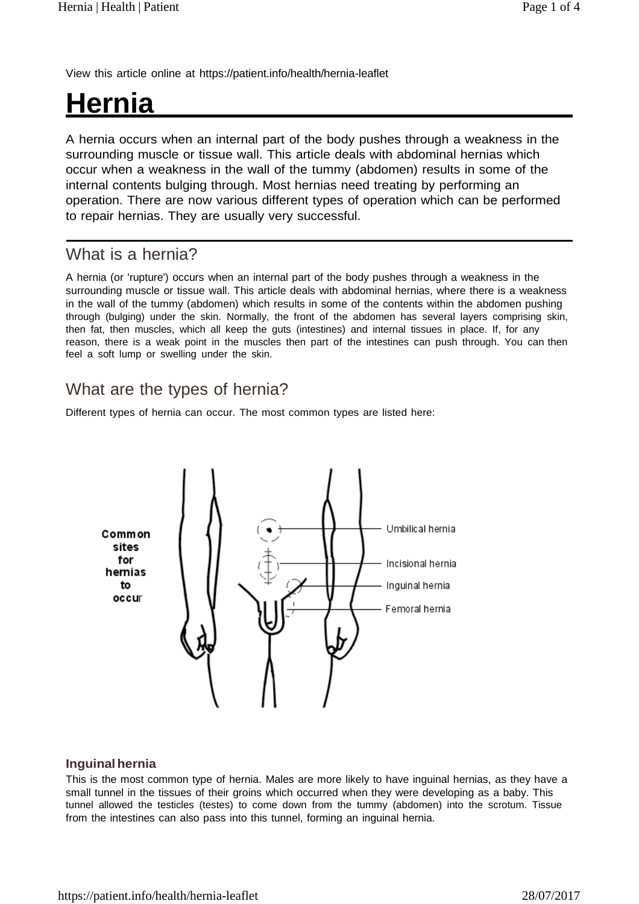View this article online at https://patient.info/health/hernia-leaflet

# **Hernia**

A hernia occurs when an internal part of the body pushes through a weakness in the surrounding muscle or tissue wall. This article deals with abdominal hernias which occur when a weakness in the wall of the tummy (abdomen) results in some of the internal contents bulging through. Most hernias need treating by performing an operation. There are now various different types of operation which can be performed to repair hernias. They are usually very successful.

## What is a hernia?

A hernia (or 'rupture') occurs when an internal part of the body pushes through a weakness in the surrounding muscle or tissue wall. This article deals with abdominal hernias, where there is a weakness in the wall of the tummy (abdomen) which results in some of the contents within the abdomen pushing through (bulging) under the skin. Normally, the front of the abdomen has several layers comprising skin, then fat, then muscles, which all keep the guts (intestines) and internal tissues in place. If, for any reason, there is a weak point in the muscles then part of the intestines can push through. You can then feel a soft lump or swelling under the skin.

## What are the types of hernia?

Different types of hernia can occur. The most common types are listed here:



### **Inguinalhernia**

This is the most common type of hernia. Males are more likely to have inguinal hernias, as they have a small tunnel in the tissues of their groins which occurred when they were developing as a baby. This tunnel allowed the testicles (testes) to come down from the tummy (abdomen) into the scrotum. Tissue from the intestines can also pass into this tunnel, forming an inguinal hernia.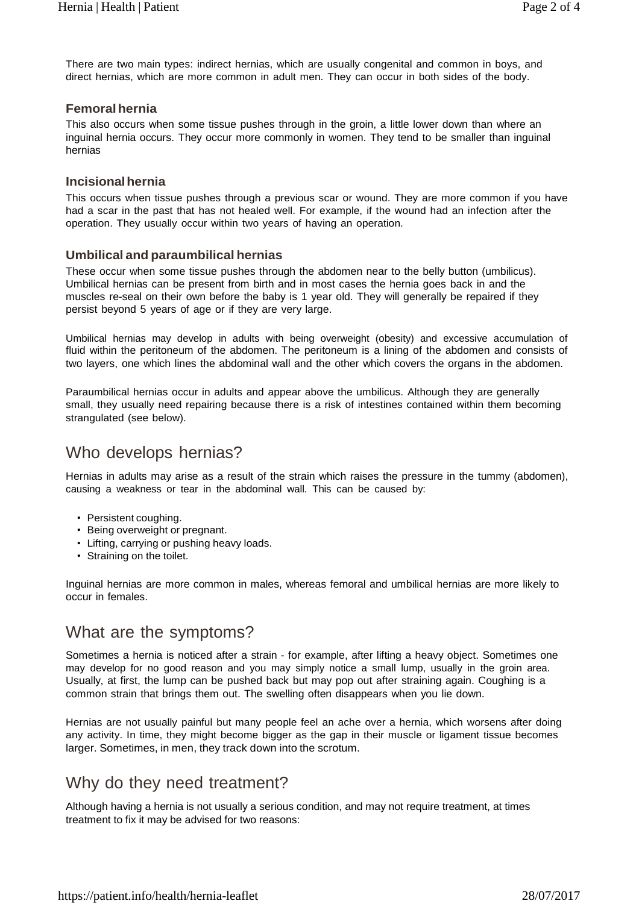There are two main types: indirect hernias, which are usually congenital and common in boys, and direct hernias, which are more common in adult men. They can occur in both sides of the body.

## **Femoralhernia**

This also occurs when some tissue pushes through in the groin, a little lower down than where an inguinal hernia occurs. They occur more commonly in women. They tend to be smaller than inguinal hernias

## **Incisionalhernia**

This occurs when tissue pushes through a previous scar or wound. They are more common if you have had a scar in the past that has not healed well. For example, if the wound had an infection after the operation. They usually occur within two years of having an operation.

### **Umbilical and paraumbilical hernias**

These occur when some tissue pushes through the abdomen near to the belly button (umbilicus). Umbilical hernias can be present from birth and in most cases the hernia goes back in and the muscles re-seal on their own before the baby is 1 year old. They will generally be repaired if they persist beyond 5 years of age or if they are very large.

Umbilical hernias may develop in adults with being overweight (obesity) and excessive accumulation of fluid within the peritoneum of the abdomen. The peritoneum is a lining of the abdomen and consists of two layers, one which lines the abdominal wall and the other which covers the organs in the abdomen.

Paraumbilical hernias occur in adults and appear above the umbilicus. Although they are generally small, they usually need repairing because there is a risk of intestines contained within them becoming strangulated (see below).

## Who develops hernias?

Hernias in adults may arise as a result of the strain which raises the pressure in the tummy (abdomen), causing a weakness or tear in the abdominal wall. This can be caused by:

- Persistent coughing.
- Being overweight or pregnant.
- Lifting, carrying or pushing heavy loads.
- Straining on the toilet.

Inguinal hernias are more common in males, whereas femoral and umbilical hernias are more likely to occur in females.

## What are the symptoms?

Sometimes a hernia is noticed after a strain - for example, after lifting a heavy object. Sometimes one may develop for no good reason and you may simply notice a small lump, usually in the groin area. Usually, at first, the lump can be pushed back but may pop out after straining again. Coughing is a common strain that brings them out. The swelling often disappears when you lie down.

Hernias are not usually painful but many people feel an ache over a hernia, which worsens after doing any activity. In time, they might become bigger as the gap in their muscle or ligament tissue becomes larger. Sometimes, in men, they track down into the scrotum.

## Why do they need treatment?

Although having a hernia is not usually a serious condition, and may not require treatment, at times treatment to fix it may be advised for two reasons: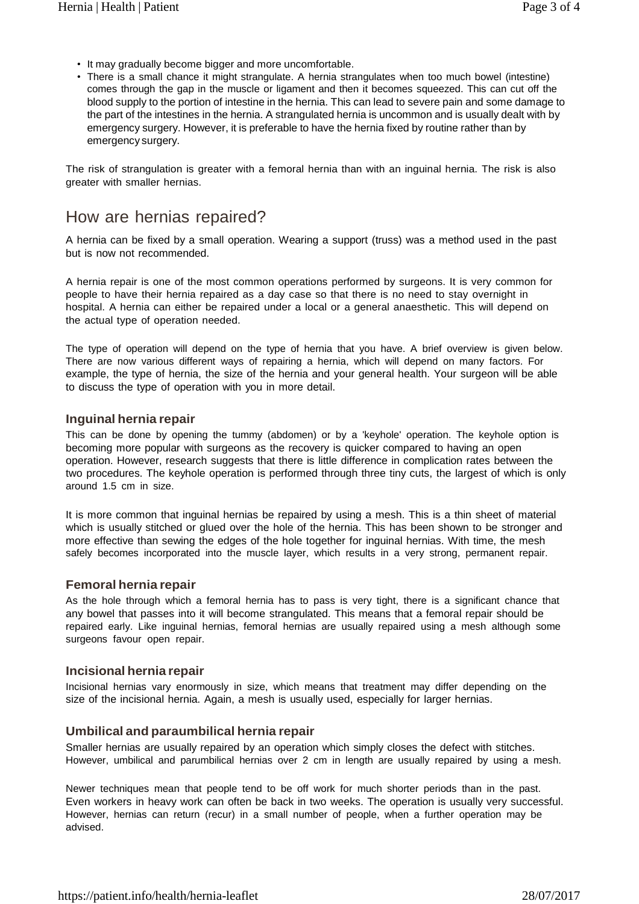- It may gradually become bigger and more uncomfortable.
- There is a small chance it might strangulate. A hernia strangulates when too much bowel (intestine) comes through the gap in the muscle or ligament and then it becomes squeezed. This can cut off the blood supply to the portion of intestine in the hernia. This can lead to severe pain and some damage to the part of the intestines in the hernia. A strangulated hernia is uncommon and is usually dealt with by emergency surgery. However, it is preferable to have the hernia fixed by routine rather than by emergency surgery.

The risk of strangulation is greater with a femoral hernia than with an inguinal hernia. The risk is also greater with smaller hernias.

## How are hernias repaired?

A hernia can be fixed by a small operation. Wearing a support (truss) was a method used in the past but is now not recommended.

A hernia repair is one of the most common operations performed by surgeons. It is very common for people to have their hernia repaired as a day case so that there is no need to stay overnight in hospital. A hernia can either be repaired under a local or a general anaesthetic. This will depend on the actual type of operation needed.

The type of operation will depend on the type of hernia that you have. A brief overview is given below. There are now various different ways of repairing a hernia, which will depend on many factors. For example, the type of hernia, the size of the hernia and your general health. Your surgeon will be able to discuss the type of operation with you in more detail.

#### **Inguinal hernia repair**

This can be done by opening the tummy (abdomen) or by a 'keyhole' operation. The keyhole option is becoming more popular with surgeons as the recovery is quicker compared to having an open operation. However, research suggests that there is little difference in complication rates between the two procedures. The keyhole operation is performed through three tiny cuts, the largest of which is only around 1.5 cm in size.

It is more common that inguinal hernias be repaired by using a mesh. This is a thin sheet of material which is usually stitched or glued over the hole of the hernia. This has been shown to be stronger and more effective than sewing the edges of the hole together for inguinal hernias. With time, the mesh safely becomes incorporated into the muscle layer, which results in a very strong, permanent repair.

#### **Femoral hernia repair**

As the hole through which a femoral hernia has to pass is very tight, there is a significant chance that any bowel that passes into it will become strangulated. This means that a femoral repair should be repaired early. Like inguinal hernias, femoral hernias are usually repaired using a mesh although some surgeons favour open repair.

### **Incisional hernia repair**

Incisional hernias vary enormously in size, which means that treatment may differ depending on the size of the incisional hernia. Again, a mesh is usually used, especially for larger hernias.

### **Umbilical and paraumbilical hernia repair**

Smaller hernias are usually repaired by an operation which simply closes the defect with stitches. However, umbilical and parumbilical hernias over 2 cm in length are usually repaired by using a mesh.

Newer techniques mean that people tend to be off work for much shorter periods than in the past. Even workers in heavy work can often be back in two weeks. The operation is usually very successful. However, hernias can return (recur) in a small number of people, when a further operation may be advised.